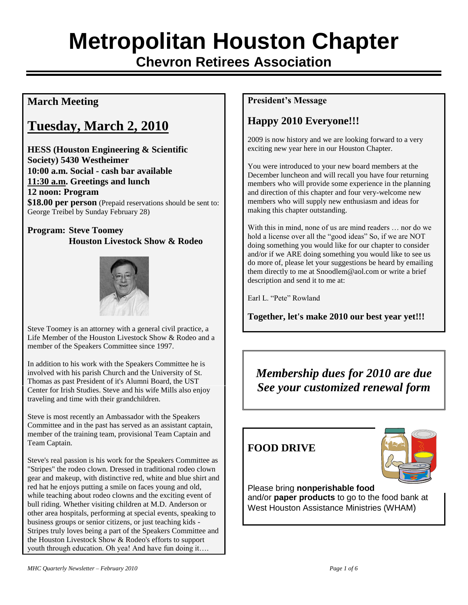# **Metropolitan Houston Chapter**

**Chevron Retirees Association**

## **March Meeting**

## **Tuesday, March 2, 2010**

**HESS (Houston Engineering & Scientific Society) 5430 Westheimer 10:00 a.m. Social - cash bar available 11:30 a.m. Greetings and lunch 12 noon: Program \$18.00 per person** (Prepaid reservations should be sent to: George Treibel by Sunday February 28)

#### **Program: Steve Toomey Houston Livestock Show & Rodeo**



Steve Toomey is an attorney with a general civil practice, a Life Member of the Houston Livestock Show & Rodeo and a member of the Speakers Committee since 1997.

In addition to his work with the Speakers Committee he is involved with his parish Church and the University of St. Thomas as past President of it's Alumni Board, the UST Center for Irish Studies. Steve and his wife Mills also enjoy traveling and time with their grandchildren.

Steve is most recently an Ambassador with the Speakers Committee and in the past has served as an assistant captain, member of the training team, provisional Team Captain and Team Captain.

Steve's real passion is his work for the Speakers Committee as "Stripes" the rodeo clown. Dressed in traditional rodeo clown gear and makeup, with distinctive red, white and blue shirt and red hat he enjoys putting a smile on faces young and old, while teaching about rodeo clowns and the exciting event of bull riding. Whether visiting children at M.D. Anderson or other area hospitals, performing at special events, speaking to business groups or senior citizens, or just teaching kids - Stripes truly loves being a part of the Speakers Committee and the Houston Livestock Show & Rodeo's efforts to support youth through education. Oh yea! And have fun doing it….

#### **President's Message**

## **Happy 2010 Everyone!!!**

2009 is now history and we are looking forward to a very exciting new year here in our Houston Chapter.

You were introduced to your new board members at the December luncheon and will recall you have four returning members who will provide some experience in the planning and direction of this chapter and four very-welcome new members who will supply new enthusiasm and ideas for making this chapter outstanding.

With this in mind, none of us are mind readers … nor do we hold a license over all the "good ideas" So, if we are NOT doing something you would like for our chapter to consider and/or if we ARE doing something you would like to see us do more of, please let your suggestions be heard by emailing them directly to me at Snoodlem@aol.com or write a brief description and send it to me at:

Earl L. "Pete" Rowland

**Together, let's make 2010 our best year yet!!!**

*Membership dues for 2010 are due See your customized renewal form*

#### **FOOD DRIVE**



Please bring **nonperishable food**  and/or **paper products** to go to the food bank at West Houston Assistance Ministries (WHAM)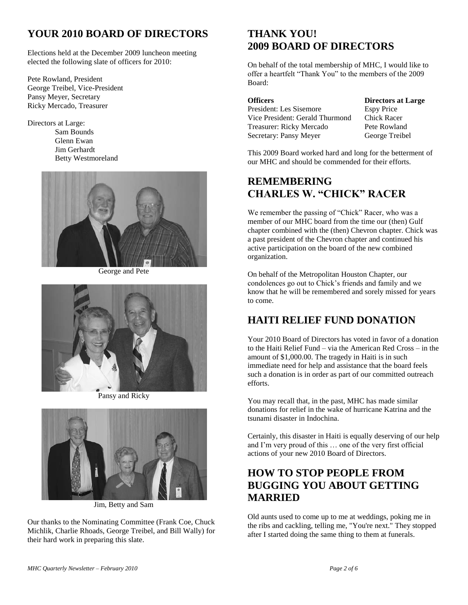## **YOUR 2010 BOARD OF DIRECTORS**

Elections held at the December 2009 luncheon meeting elected the following slate of officers for 2010:

Pete Rowland, President George Treibel, Vice-President Pansy Meyer, Secretary Ricky Mercado, Treasurer

Directors at Large:

Sam Bounds Glenn Ewan Jim Gerhardt Betty Westmoreland



George and Pete



Pansy and Ricky



Jim, Betty and Sam

Our thanks to the Nominating Committee (Frank Coe, Chuck Michlik, Charlie Rhoads, George Treibel, and Bill Wally) for their hard work in preparing this slate.

### **THANK YOU! 2009 BOARD OF DIRECTORS**

On behalf of the total membership of MHC, I would like to offer a heartfelt "Thank You" to the members of the 2009 Board:

| <b>Officers</b>                 |
|---------------------------------|
| President: Les Sisemore         |
| Vice President: Gerald Thurmond |
| Treasurer: Ricky Mercado        |
| Secretary: Pansy Meyer          |

**Directors** at Large **Espy Price** Chick Racer Pete Rowland George Treibel

This 2009 Board worked hard and long for the betterment of our MHC and should be commended for their efforts.

#### **REMEMBERING CHARLES W. "CHICK" RACER**

We remember the passing of "Chick" Racer, who was a member of our MHC board from the time our (then) Gulf chapter combined with the (then) Chevron chapter. Chick was a past president of the Chevron chapter and continued his active participation on the board of the new combined organization.

On behalf of the Metropolitan Houston Chapter, our condolences go out to Chick's friends and family and we know that he will be remembered and sorely missed for years to come.

### **HAITI RELIEF FUND DONATION**

Your 2010 Board of Directors has voted in favor of a donation to the Haiti Relief Fund – via the American Red Cross – in the amount of \$1,000.00. The tragedy in Haiti is in such immediate need for help and assistance that the board feels such a donation is in order as part of our committed outreach efforts.

You may recall that, in the past, MHC has made similar donations for relief in the wake of hurricane Katrina and the tsunami disaster in Indochina.

Certainly, this disaster in Haiti is equally deserving of our help and I'm very proud of this … one of the very first official actions of your new 2010 Board of Directors.

#### **HOW TO STOP PEOPLE FROM BUGGING YOU ABOUT GETTING MARRIED**

Old aunts used to come up to me at weddings, poking me in the ribs and cackling, telling me, "You're next." They stopped after I started doing the same thing to them at funerals.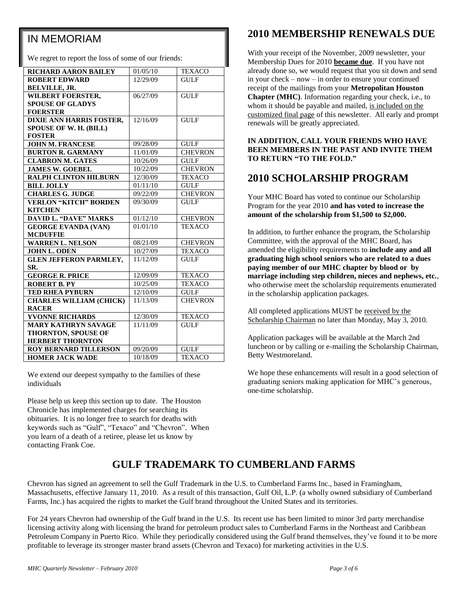## IN MEMORIAM

We regret to report the loss of some of our friends:

| <b>RICHARD AARON BAILEY</b>    | 01/05/10 | <b>TEXACO</b>     |
|--------------------------------|----------|-------------------|
| <b>ROBERT EDWARD</b>           | 12/29/09 | <b>GULF</b>       |
| <b>BELVILLE, JR.</b>           |          |                   |
| <b>WILBERT FOERSTER,</b>       | 06/27/09 | <b>GULF</b>       |
| <b>SPOUSE OF GLADYS</b>        |          |                   |
| <b>FOERSTER</b>                |          |                   |
| DIXIE ANN HARRIS FOSTER,       | 12/16/09 | <b>GULF</b>       |
| SPOUSE OF W. H. (BILL)         |          |                   |
| <b>FOSTER</b>                  |          |                   |
| <b>JOHN M. FRANCESE</b>        | 09/28/09 | <b>GULF</b>       |
| <b>BURTON R. GARMANY</b>       | 11/01/09 | <b>CHEVRON</b>    |
| <b>CLABRON M. GATES</b>        | 10/26/09 | <b>GULF</b>       |
| <b>JAMES W. GOEBEL</b>         | 10/22/09 | <b>CHEVRON</b>    |
| <b>RALPH CLINTON HILBURN</b>   | 12/30/09 | <b>TEXACO</b>     |
| <b>BILL JOLLY</b>              | 01/11/10 | <b>GULF</b>       |
| <b>CHARLES G. JUDGE</b>        | 09/22/09 | <b>CHEVRON</b>    |
| <b>VERLON "KITCH" BORDEN</b>   | 09/30/09 | <b>GULF</b>       |
| <b>KITCHEN</b>                 |          |                   |
| <b>DAVID L. "DAVE" MARKS</b>   | 01/12/10 | <b>CHEVRON</b>    |
| <b>GEORGE EVANDA (VAN)</b>     | 01/01/10 | <b>TEXACO</b>     |
| <b>MCDUFFIE</b>                |          |                   |
| <b>WARREN L. NELSON</b>        | 08/21/09 | <b>CHEVRON</b>    |
| <b>JOHN L. ODEN</b>            | 10/27/09 | <b>TEXACO</b>     |
| <b>GLEN JEFFERON PARMLEY,</b>  | 11/12/09 | <b>GULF</b>       |
| SR.                            |          |                   |
| <b>GEORGE R. PRICE</b>         | 12/09/09 | <b>TEXACO</b>     |
| <b>ROBERT B. PY</b>            | 10/25/09 | <b>TEXACO</b>     |
| <b>TED RHEA PYBURN</b>         | 12/10/09 | <b>GULF</b>       |
| <b>CHARLES WILLIAM (CHICK)</b> | 11/13/09 | <b>CHEVRON</b>    |
| <b>RACER</b>                   |          |                   |
| <b>YVONNE RICHARDS</b>         | 12/30/09 | <b>TEXACO</b>     |
| <b>MARY KATHRYN SAVAGE</b>     | 11/11/09 | <b>GULF</b>       |
| <b>THORNTON, SPOUSE OF</b>     |          |                   |
| <b>HERBERT THORNTON</b>        |          |                   |
| <b>ROY BERNARD TILLERSON</b>   | 09/20/09 | $G\overline{ULF}$ |
| <b>HOMER JACK WADE</b>         | 10/18/09 | <b>TEXACO</b>     |

We extend our deepest sympathy to the families of these individuals

Please help us keep this section up to date. The Houston Chronicle has implemented charges for searching its obituaries. It is no longer free to search for deaths with keywords such as "Gulf", "Texaco" and "Chevron". When you learn of a death of a retiree, please let us know by contacting Frank Coe.

### **2010 MEMBERSHIP RENEWALS DUE**

With your receipt of the November, 2009 newsletter, your Membership Dues for 2010 **became due**. If you have not already done so, we would request that you sit down and send in your check – now – in order to ensure your continued receipt of the mailings from your **Metropolitan Houston Chapter (MHC)**. Information regarding your check, i.e., to whom it should be payable and mailed, is included on the customized final page of this newsletter. All early and prompt renewals will be greatly appreciated.

#### **IN ADDITION, CALL YOUR FRIENDS WHO HAVE BEEN MEMBERS IN THE PAST AND INVITE THEM TO RETURN "TO THE FOLD."**

#### **2010 SCHOLARSHIP PROGRAM**

Your MHC Board has voted to continue our Scholarship Program for the year 2010 **and has voted to increase the amount of the scholarship from \$1,500 to \$2,000.**

In addition, to further enhance the program, the Scholarship Committee, with the approval of the MHC Board, has amended the eligibility requirements to **include any and all graduating high school seniors who are related to a dues paying member of our MHC chapter by blood or by marriage including step children, nieces and nephews, etc.**, who otherwise meet the scholarship requirements enumerated in the scholarship application packages.

All completed applications MUST be received by the Scholarship Chairman no later than Monday, May 3, 2010.

Application packages will be available at the March 2nd luncheon or by calling or e-mailing the Scholarship Chairman, Betty Westmoreland.

We hope these enhancements will result in a good selection of graduating seniors making application for MHC's generous, one-time scholarship.

## **GULF TRADEMARK TO CUMBERLAND FARMS**

Chevron has signed an agreement to sell the Gulf Trademark in the U.S. to Cumberland Farms Inc., based in Framingham, Massachusetts, effective January 11, 2010. As a result of this transaction, Gulf Oil, L.P. (a wholly owned subsidiary of Cumberland Farms, Inc.) has acquired the rights to market the Gulf brand throughout the United States and its territories.

For 24 years Chevron had ownership of the Gulf brand in the U.S. Its recent use has been limited to minor 3rd party merchandise licensing activity along with licensing the brand for petroleum product sales to Cumberland Farms in the Northeast and Caribbean Petroleum Company in Puerto Rico. While they periodically considered using the Gulf brand themselves, they've found it to be more profitable to leverage its stronger master brand assets (Chevron and Texaco) for marketing activities in the U.S.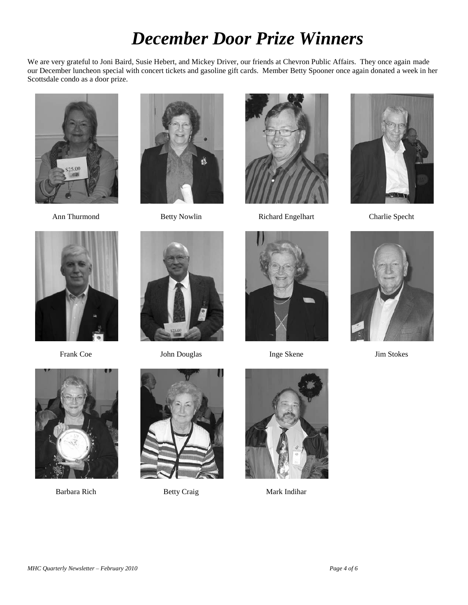# *December Door Prize Winners*

We are very grateful to Joni Baird, Susie Hebert, and Mickey Driver, our friends at Chevron Public Affairs. They once again made our December luncheon special with concert tickets and gasoline gift cards. Member Betty Spooner once again donated a week in her Scottsdale condo as a door prize.







Ann Thurmond Betty Nowlin Richard Engelhart Charlie Specht









Frank Coe John Douglas Inge Skene Jim Stokes









Barbara Rich Betty Craig Mark Indihar